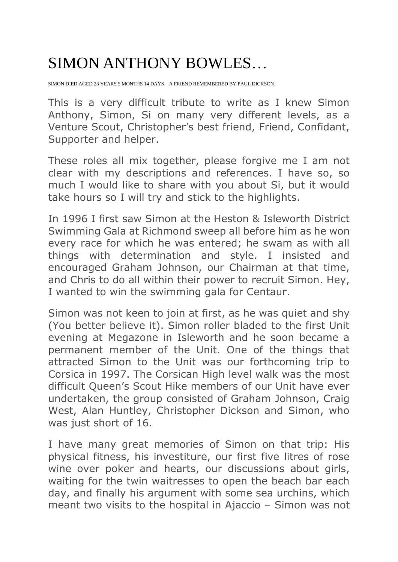## SIMON ANTHONY BOWLES…

SIMON DIED AGED 23 YEARS 5 MONTHS 14 DAYS – A FRIEND REMEMBERED BY PAUL DICKSON.

This is a very difficult tribute to write as I knew Simon Anthony, Simon, Si on many very different levels, as a Venture Scout, Christopher's best friend, Friend, Confidant, Supporter and helper.

These roles all mix together, please forgive me I am not clear with my descriptions and references. I have so, so much I would like to share with you about Si, but it would take hours so I will try and stick to the highlights.

In 1996 I first saw Simon at the Heston & Isleworth District Swimming Gala at Richmond sweep all before him as he won every race for which he was entered; he swam as with all things with determination and style. I insisted and encouraged Graham Johnson, our Chairman at that time, and Chris to do all within their power to recruit Simon. Hey, I wanted to win the swimming gala for Centaur.

Simon was not keen to join at first, as he was quiet and shy (You better believe it). Simon roller bladed to the first Unit evening at Megazone in Isleworth and he soon became a permanent member of the Unit. One of the things that attracted Simon to the Unit was our forthcoming trip to Corsica in 1997. The Corsican High level walk was the most difficult Queen's Scout Hike members of our Unit have ever undertaken, the group consisted of Graham Johnson, Craig West, Alan Huntley, Christopher Dickson and Simon, who was just short of 16.

I have many great memories of Simon on that trip: His physical fitness, his investiture, our first five litres of rose wine over poker and hearts, our discussions about girls, waiting for the twin waitresses to open the beach bar each day, and finally his argument with some sea urchins, which meant two visits to the hospital in Ajaccio – Simon was not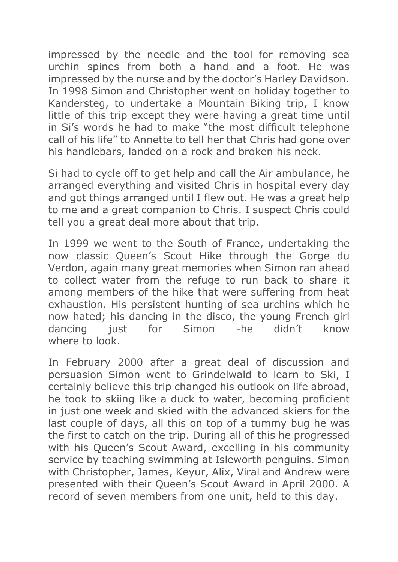impressed by the needle and the tool for removing sea urchin spines from both a hand and a foot. He was impressed by the nurse and by the doctor's Harley Davidson. In 1998 Simon and Christopher went on holiday together to Kandersteg, to undertake a Mountain Biking trip, I know little of this trip except they were having a great time until in Si's words he had to make "the most difficult telephone call of his life" to Annette to tell her that Chris had gone over his handlebars, landed on a rock and broken his neck.

Si had to cycle off to get help and call the Air ambulance, he arranged everything and visited Chris in hospital every day and got things arranged until I flew out. He was a great help to me and a great companion to Chris. I suspect Chris could tell you a great deal more about that trip.

In 1999 we went to the South of France, undertaking the now classic Queen's Scout Hike through the Gorge du Verdon, again many great memories when Simon ran ahead to collect water from the refuge to run back to share it among members of the hike that were suffering from heat exhaustion. His persistent hunting of sea urchins which he now hated; his dancing in the disco, the young French girl dancing just for Simon -he didn't know where to look

In February 2000 after a great deal of discussion and persuasion Simon went to Grindelwald to learn to Ski, I certainly believe this trip changed his outlook on life abroad, he took to skiing like a duck to water, becoming proficient in just one week and skied with the advanced skiers for the last couple of days, all this on top of a tummy bug he was the first to catch on the trip. During all of this he progressed with his Queen's Scout Award, excelling in his community service by teaching swimming at Isleworth penguins. Simon with Christopher, James, Keyur, Alix, Viral and Andrew were presented with their Queen's Scout Award in April 2000. A record of seven members from one unit, held to this day.